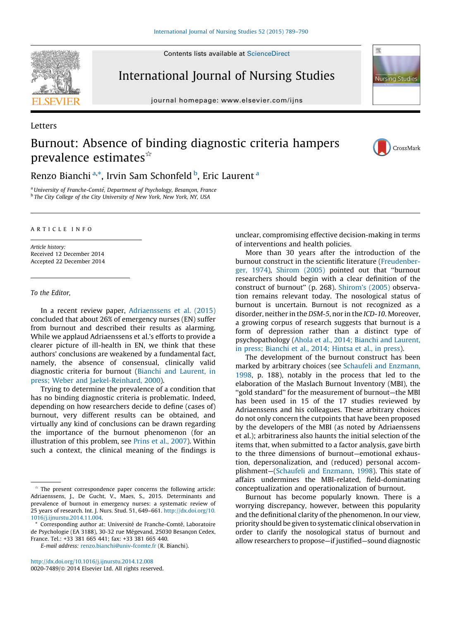Contents lists available at [ScienceDirect](http://www.sciencedirect.com/science/journal/00207489)



Letters

International Journal of Nursing Studies

journal homepage: www.elsevier.com/ijns



## Burnout: Absence of binding diagnostic criteria hampers prevalence estimates $\hat{z}$



Renzo Bianchi<sup>a,</sup>\*, Irvin Sam Schonfeld <sup>b</sup>, Eric Laurent <sup>a</sup>

<sup>a</sup> University of Franche-Comté, Department of Psychology, Besançon, France <sup>b</sup> The City College of the City University of New York, New York, NY, USA

## A R T I C L E I N F O

Article history: Received 12 December 2014 Accepted 22 December 2014

To the Editor,

In a recent review paper, [Adriaenssens](#page-1-0) et al. (2015) concluded that about 26% of emergency nurses (EN) suffer from burnout and described their results as alarming. While we applaud Adriaenssens et al.'s efforts to provide a clearer picture of ill-health in EN, we think that these authors' conclusions are weakened by a fundamental fact, namely, the absence of consensual, clinically valid diagnostic criteria for burnout (Bianchi and [Laurent,](#page-1-0) in press; Weber and [Jaekel-Reinhard,](#page-1-0) 2000).

Trying to determine the prevalence of a condition that has no binding diagnostic criteria is problematic. Indeed, depending on how researchers decide to define (cases of) burnout, very different results can be obtained, and virtually any kind of conclusions can be drawn regarding the importance of the burnout phenomenon (for an illustration of this problem, see Prins et al., [2007\)](#page-1-0). Within such a context, the clinical meaning of the findings is

<http://dx.doi.org/10.1016/j.ijnurstu.2014.12.008> 0020-7489/© 2014 Elsevier Ltd. All rights reserved.

unclear, compromising effective decision-making in terms of interventions and health policies.

More than 30 years after the introduction of the burnout construct in the scientific literature [\(Freudenber](#page-1-0)ger, [1974\)](#page-1-0), [Shirom](#page-1-0) (2005) pointed out that ''burnout researchers should begin with a clear definition of the construct of burnout'' (p. 268). [Shirom's](#page-1-0) (2005) observation remains relevant today. The nosological status of burnout is uncertain. Burnout is not recognized as a disorder, neither in the DSM-5, nor in the ICD-10. Moreover, a growing corpus of research suggests that burnout is a form of depression rather than a distinct type of psychopathology (Ahola et al., 2014; Bianchi and [Laurent,](#page-1-0) in press; [Bianchi](#page-1-0) et al., 2014; Hintsa et al., in press).

The development of the burnout construct has been marked by arbitrary choices (see Schaufeli and [Enzmann,](#page-1-0) [1998](#page-1-0), p. 188), notably in the process that led to the elaboration of the Maslach Burnout Inventory (MBI), the ''gold standard'' for the measurement of burnout—the MBI has been used in 15 of the 17 studies reviewed by Adriaenssens and his colleagues. These arbitrary choices do not only concern the cutpoints that have been proposed by the developers of the MBI (as noted by Adriaenssens et al.); arbitrariness also haunts the initial selection of the items that, when submitted to a factor analysis, gave birth to the three dimensions of burnout—emotional exhaustion, depersonalization, and (reduced) personal accomplishment—(Schaufeli and [Enzmann,](#page-1-0) 1998). This state of affairs undermines the MBI-related, field-dominating conceptualization and operationalization of burnout.

Burnout has become popularly known. There is a worrying discrepancy, however, between this popularity and the definitional clarity of the phenomenon. In our view, priority should be given to systematic clinical observation in order to clarify the nosological status of burnout and allow researchers to propose—if justified—sound diagnostic

 $*$  The present correspondence paper concerns the following article: Adriaenssens, J., De Gucht, V., Maes, S., 2015. Determinants and prevalence of burnout in emergency nurses: a systematic review of 25 years of research. Int. J. Nurs. Stud. 51, 649–661. [http://dx.doi.org/10.](http://dx.doi.org/10.1016/j.ijnurstu.2014.11.004) [1016/j.ijnurstu.2014.11.004.](http://dx.doi.org/10.1016/j.ijnurstu.2014.11.004)

Corresponding author at: Université de Franche-Comté, Laboratoire de Psychologie (EA 3188), 30-32 rue Mégevand, 25030 Besançon Cedex, France. Tel.: +33 381 665 441; fax: +33 381 665 440.

E-mail address: [renzo.bianchi@univ-fcomte.fr](mailto:renzo.bianchi@univ-fcomte.fr) (R. Bianchi).